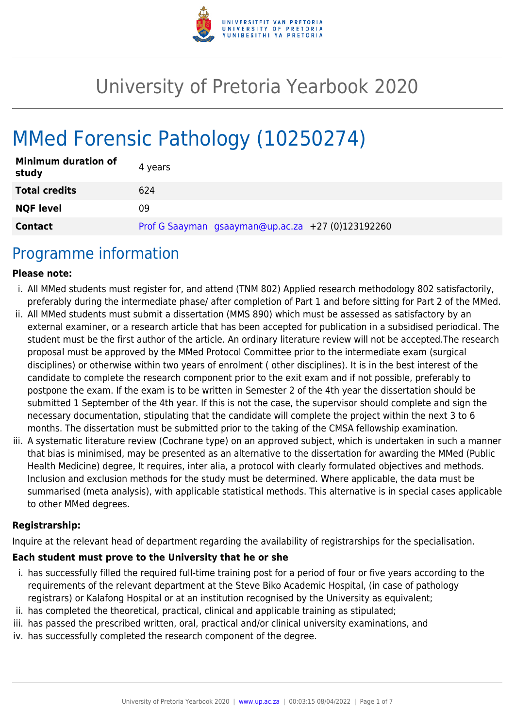

# University of Pretoria Yearbook 2020

# MMed Forensic Pathology (10250274)

| <b>Minimum duration of</b><br>study | 4 years                                           |
|-------------------------------------|---------------------------------------------------|
| <b>Total credits</b>                | 624                                               |
| <b>NQF level</b>                    | 09                                                |
| <b>Contact</b>                      | Prof G Saayman gsaayman@up.ac.za +27 (0)123192260 |

### Programme information

#### **Please note:**

- i. All MMed students must register for, and attend (TNM 802) Applied research methodology 802 satisfactorily, preferably during the intermediate phase/ after completion of Part 1 and before sitting for Part 2 of the MMed.
- ii. All MMed students must submit a dissertation (MMS 890) which must be assessed as satisfactory by an external examiner, or a research article that has been accepted for publication in a subsidised periodical. The student must be the first author of the article. An ordinary literature review will not be accepted.The research proposal must be approved by the MMed Protocol Committee prior to the intermediate exam (surgical disciplines) or otherwise within two years of enrolment ( other disciplines). It is in the best interest of the candidate to complete the research component prior to the exit exam and if not possible, preferably to postpone the exam. If the exam is to be written in Semester 2 of the 4th year the dissertation should be submitted 1 September of the 4th year. If this is not the case, the supervisor should complete and sign the necessary documentation, stipulating that the candidate will complete the project within the next 3 to 6 months. The dissertation must be submitted prior to the taking of the CMSA fellowship examination.
- iii. A systematic literature review (Cochrane type) on an approved subject, which is undertaken in such a manner that bias is minimised, may be presented as an alternative to the dissertation for awarding the MMed (Public Health Medicine) degree, It requires, inter alia, a protocol with clearly formulated objectives and methods. Inclusion and exclusion methods for the study must be determined. Where applicable, the data must be summarised (meta analysis), with applicable statistical methods. This alternative is in special cases applicable to other MMed degrees.

#### **Registrarship:**

Inquire at the relevant head of department regarding the availability of registrarships for the specialisation.

#### **Each student must prove to the University that he or she**

- i. has successfully filled the required full-time training post for a period of four or five years according to the requirements of the relevant department at the Steve Biko Academic Hospital, (in case of pathology registrars) or Kalafong Hospital or at an institution recognised by the University as equivalent;
- ii. has completed the theoretical, practical, clinical and applicable training as stipulated;
- iii. has passed the prescribed written, oral, practical and/or clinical university examinations, and
- iv. has successfully completed the research component of the degree.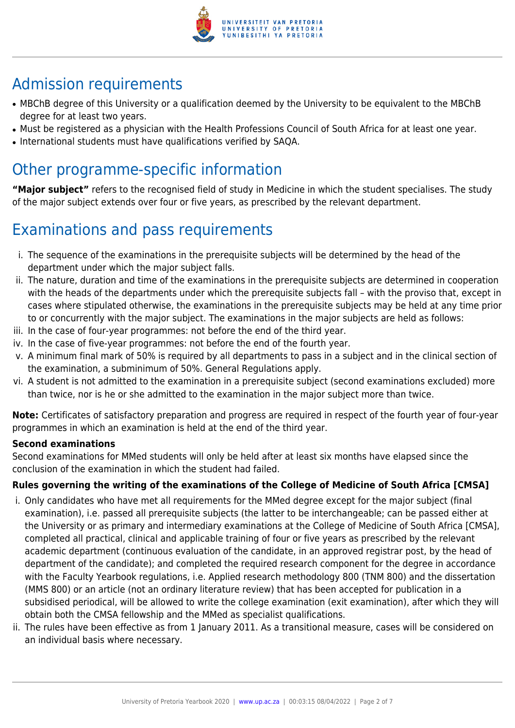

# Admission requirements

- MBChB degree of this University or a qualification deemed by the University to be equivalent to the MBChB degree for at least two years.
- Must be registered as a physician with the Health Professions Council of South Africa for at least one year.
- International students must have qualifications verified by SAQA.

# Other programme-specific information

**"Major subject"** refers to the recognised field of study in Medicine in which the student specialises. The study of the major subject extends over four or five years, as prescribed by the relevant department.

# Examinations and pass requirements

- i. The sequence of the examinations in the prerequisite subjects will be determined by the head of the department under which the major subject falls.
- ii. The nature, duration and time of the examinations in the prerequisite subjects are determined in cooperation with the heads of the departments under which the prerequisite subjects fall – with the proviso that, except in cases where stipulated otherwise, the examinations in the prerequisite subjects may be held at any time prior to or concurrently with the major subject. The examinations in the major subjects are held as follows:
- iii. In the case of four-year programmes: not before the end of the third year.
- iv. In the case of five-year programmes: not before the end of the fourth year.
- v. A minimum final mark of 50% is required by all departments to pass in a subject and in the clinical section of the examination, a subminimum of 50%. General Regulations apply.
- vi. A student is not admitted to the examination in a prerequisite subject (second examinations excluded) more than twice, nor is he or she admitted to the examination in the major subject more than twice.

**Note:** Certificates of satisfactory preparation and progress are required in respect of the fourth year of four-year programmes in which an examination is held at the end of the third year.

### **Second examinations**

Second examinations for MMed students will only be held after at least six months have elapsed since the conclusion of the examination in which the student had failed.

### **Rules governing the writing of the examinations of the College of Medicine of South Africa [CMSA]**

- i. Only candidates who have met all requirements for the MMed degree except for the major subject (final examination), i.e. passed all prerequisite subjects (the latter to be interchangeable; can be passed either at the University or as primary and intermediary examinations at the College of Medicine of South Africa [CMSA], completed all practical, clinical and applicable training of four or five years as prescribed by the relevant academic department (continuous evaluation of the candidate, in an approved registrar post, by the head of department of the candidate); and completed the required research component for the degree in accordance with the Faculty Yearbook regulations, i.e. Applied research methodology 800 (TNM 800) and the dissertation (MMS 800) or an article (not an ordinary literature review) that has been accepted for publication in a subsidised periodical, will be allowed to write the college examination (exit examination), after which they will obtain both the CMSA fellowship and the MMed as specialist qualifications.
- ii. The rules have been effective as from 1 January 2011. As a transitional measure, cases will be considered on an individual basis where necessary.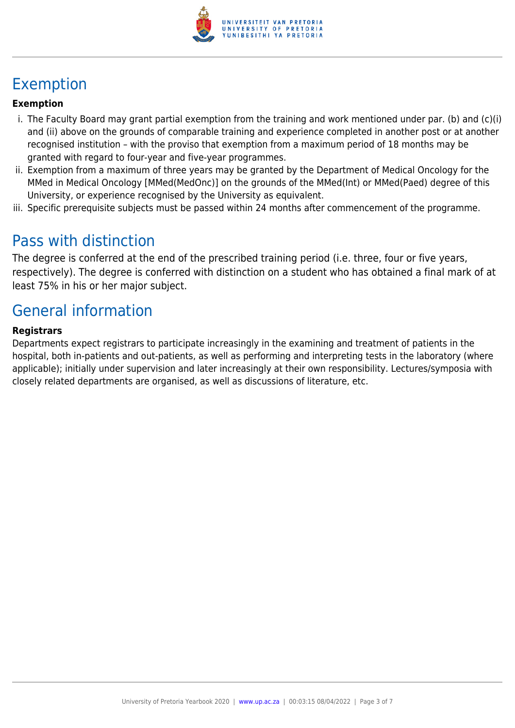

# Exemption

#### **Exemption**

- i. The Faculty Board may grant partial exemption from the training and work mentioned under par. (b) and (c)(i) and (ii) above on the grounds of comparable training and experience completed in another post or at another recognised institution – with the proviso that exemption from a maximum period of 18 months may be granted with regard to four-year and five-year programmes.
- ii. Exemption from a maximum of three years may be granted by the Department of Medical Oncology for the MMed in Medical Oncology [MMed(MedOnc)] on the grounds of the MMed(Int) or MMed(Paed) degree of this University, or experience recognised by the University as equivalent.
- iii. Specific prerequisite subjects must be passed within 24 months after commencement of the programme.

### Pass with distinction

The degree is conferred at the end of the prescribed training period (i.e. three, four or five years, respectively). The degree is conferred with distinction on a student who has obtained a final mark of at least 75% in his or her major subject.

# General information

#### **Registrars**

Departments expect registrars to participate increasingly in the examining and treatment of patients in the hospital, both in-patients and out-patients, as well as performing and interpreting tests in the laboratory (where applicable); initially under supervision and later increasingly at their own responsibility. Lectures/symposia with closely related departments are organised, as well as discussions of literature, etc.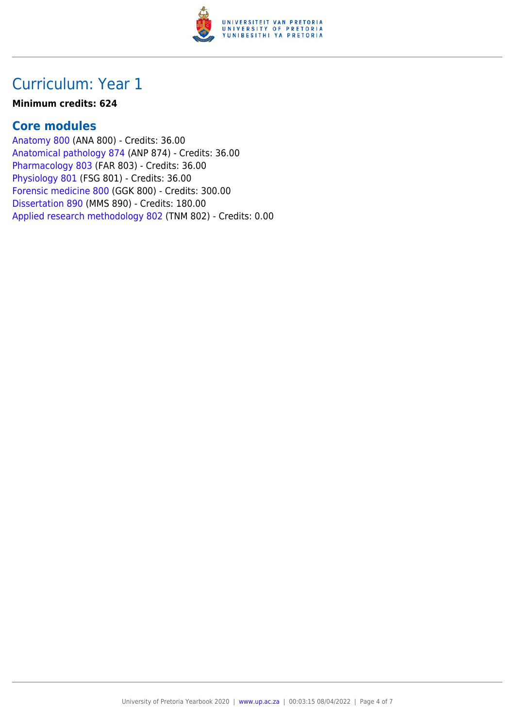

### Curriculum: Year 1

#### **Minimum credits: 624**

### **Core modules**

[Anatomy 800](https://www.up.ac.za/faculty-of-education/yearbooks/2020/modules/view/ANA 800) (ANA 800) - Credits: 36.00 [Anatomical pathology 874](https://www.up.ac.za/faculty-of-education/yearbooks/2020/modules/view/ANP 874) (ANP 874) - Credits: 36.00 [Pharmacology 803](https://www.up.ac.za/faculty-of-education/yearbooks/2020/modules/view/FAR 803) (FAR 803) - Credits: 36.00 [Physiology 801](https://www.up.ac.za/faculty-of-education/yearbooks/2020/modules/view/FSG 801) (FSG 801) - Credits: 36.00 [Forensic medicine 800](https://www.up.ac.za/faculty-of-education/yearbooks/2020/modules/view/GGK 800) (GGK 800) - Credits: 300.00 [Dissertation 890](https://www.up.ac.za/faculty-of-education/yearbooks/2020/modules/view/MMS 890) (MMS 890) - Credits: 180.00 [Applied research methodology 802](https://www.up.ac.za/faculty-of-education/yearbooks/2020/modules/view/TNM 802) (TNM 802) - Credits: 0.00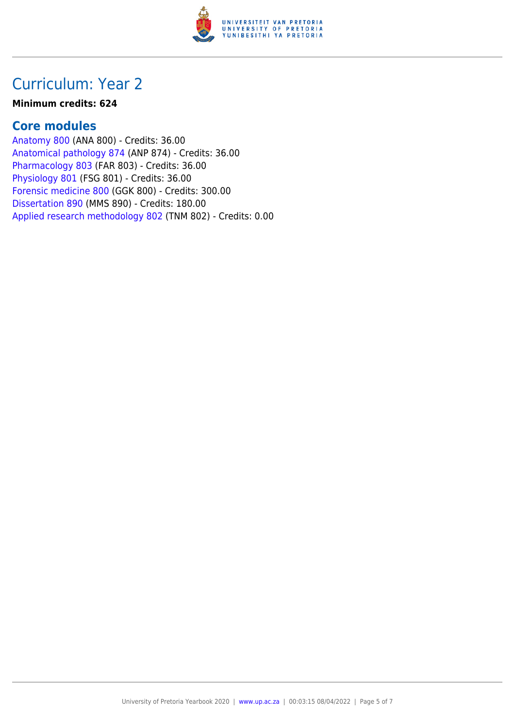

### Curriculum: Year 2

#### **Minimum credits: 624**

### **Core modules**

[Anatomy 800](https://www.up.ac.za/faculty-of-education/yearbooks/2020/modules/view/ANA 800) (ANA 800) - Credits: 36.00 [Anatomical pathology 874](https://www.up.ac.za/faculty-of-education/yearbooks/2020/modules/view/ANP 874) (ANP 874) - Credits: 36.00 [Pharmacology 803](https://www.up.ac.za/faculty-of-education/yearbooks/2020/modules/view/FAR 803) (FAR 803) - Credits: 36.00 [Physiology 801](https://www.up.ac.za/faculty-of-education/yearbooks/2020/modules/view/FSG 801) (FSG 801) - Credits: 36.00 [Forensic medicine 800](https://www.up.ac.za/faculty-of-education/yearbooks/2020/modules/view/GGK 800) (GGK 800) - Credits: 300.00 [Dissertation 890](https://www.up.ac.za/faculty-of-education/yearbooks/2020/modules/view/MMS 890) (MMS 890) - Credits: 180.00 [Applied research methodology 802](https://www.up.ac.za/faculty-of-education/yearbooks/2020/modules/view/TNM 802) (TNM 802) - Credits: 0.00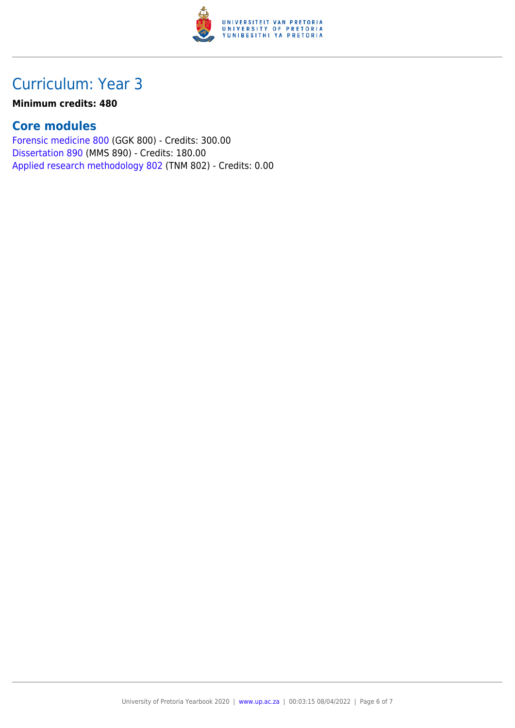

# Curriculum: Year 3

#### **Minimum credits: 480**

### **Core modules**

[Forensic medicine 800](https://www.up.ac.za/faculty-of-education/yearbooks/2020/modules/view/GGK 800) (GGK 800) - Credits: 300.00 [Dissertation 890](https://www.up.ac.za/faculty-of-education/yearbooks/2020/modules/view/MMS 890) (MMS 890) - Credits: 180.00 [Applied research methodology 802](https://www.up.ac.za/faculty-of-education/yearbooks/2020/modules/view/TNM 802) (TNM 802) - Credits: 0.00